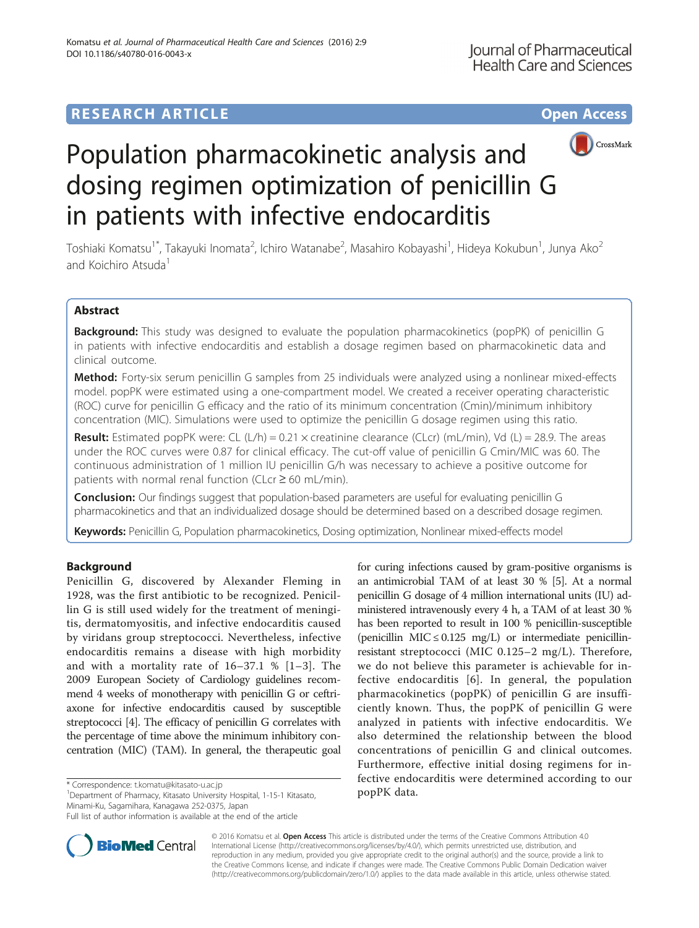# **RESEARCH ARTICLE Example 2014 12:30 The Contract of Contract ACCESS**



# Population pharmacokinetic analysis and dosing regimen optimization of penicillin G in patients with infective endocarditis

Toshiaki Komatsu<sup>1\*</sup>, Takayuki Inomata<sup>2</sup>, Ichiro Watanabe<sup>2</sup>, Masahiro Kobayashi<sup>1</sup>, Hideya Kokubun<sup>1</sup>, Junya Ako<sup>2</sup> and Koichiro Atsuda<sup>1</sup>

# Abstract

Background: This study was designed to evaluate the population pharmacokinetics (popPK) of penicillin G in patients with infective endocarditis and establish a dosage regimen based on pharmacokinetic data and clinical outcome.

Method: Forty-six serum penicillin G samples from 25 individuals were analyzed using a nonlinear mixed-effects model. popPK were estimated using a one-compartment model. We created a receiver operating characteristic (ROC) curve for penicillin G efficacy and the ratio of its minimum concentration (Cmin)/minimum inhibitory concentration (MIC). Simulations were used to optimize the penicillin G dosage regimen using this ratio.

**Result:** Estimated popPK were: CL  $(L/h) = 0.21 \times$  creatinine clearance (CLcr) (mL/min), Vd (L) = 28.9. The areas under the ROC curves were 0.87 for clinical efficacy. The cut-off value of penicillin G Cmin/MIC was 60. The continuous administration of 1 million IU penicillin G/h was necessary to achieve a positive outcome for patients with normal renal function (CLcr  $\geq$  60 mL/min).

**Conclusion:** Our findings suggest that population-based parameters are useful for evaluating penicillin G pharmacokinetics and that an individualized dosage should be determined based on a described dosage regimen.

Keywords: Penicillin G, Population pharmacokinetics, Dosing optimization, Nonlinear mixed-effects model

## Background

Penicillin G, discovered by Alexander Fleming in 1928, was the first antibiotic to be recognized. Penicillin G is still used widely for the treatment of meningitis, dermatomyositis, and infective endocarditis caused by viridans group streptococci. Nevertheless, infective endocarditis remains a disease with high morbidity and with a mortality rate of 16–37.1 % [[1](#page-6-0)–[3\]](#page-6-0). The 2009 European Society of Cardiology guidelines recommend 4 weeks of monotherapy with penicillin G or ceftriaxone for infective endocarditis caused by susceptible streptococci [\[4\]](#page-6-0). The efficacy of penicillin G correlates with the percentage of time above the minimum inhibitory concentration (MIC) (TAM). In general, the therapeutic goal

\* Correspondence: [t.komatu@kitasato-u.ac.jp](mailto:t.komatu@kitasato-u.ac.jp)<br><sup>1</sup> Department of Pharmacy, Kitasato University Hospital, 1-15-1 Kitasato, **POPPK data.** Minami-Ku, Sagamihara, Kanagawa 252-0375, Japan

Full list of author information is available at the end of the article



**BioMed Central** 

© 2016 Komatsu et al. Open Access This article is distributed under the terms of the Creative Commons Attribution 4.0 International License [\(http://creativecommons.org/licenses/by/4.0/](http://creativecommons.org/licenses/by/4.0/)), which permits unrestricted use, distribution, and reproduction in any medium, provided you give appropriate credit to the original author(s) and the source, provide a link to the Creative Commons license, and indicate if changes were made. The Creative Commons Public Domain Dedication waiver [\(http://creativecommons.org/publicdomain/zero/1.0/](http://creativecommons.org/publicdomain/zero/1.0/)) applies to the data made available in this article, unless otherwise stated.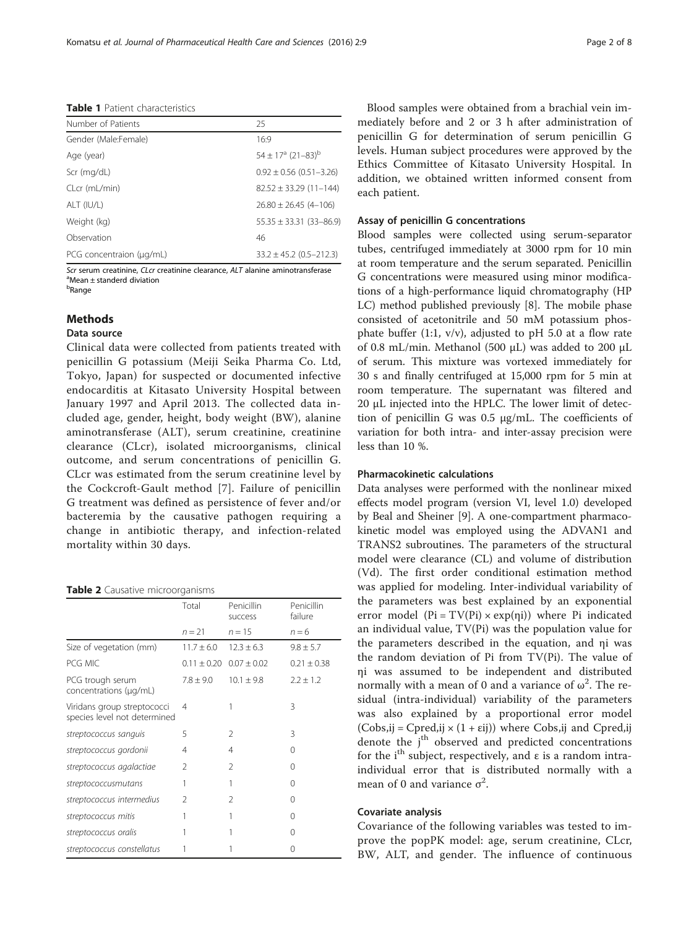<span id="page-1-0"></span>Table 1 Patient characteristics

| Number of Patients       | 25                                       |
|--------------------------|------------------------------------------|
| Gender (Male:Female)     | 16:9                                     |
| Age (year)               | $54 \pm 17^{\circ}$ (21-83) <sup>b</sup> |
| Scr (mg/dL)              | $0.92 \pm 0.56$ (0.51-3.26)              |
| CLcr (mL/min)            | $82.52 \pm 33.29$ (11-144)               |
| ALT (IU/L)               | $26.80 \pm 26.45(4 - 106)$               |
| Weight (kg)              | $55.35 \pm 33.31 (33 - 86.9)$            |
| Observation              | 46                                       |
| PCG concentraion (µg/mL) | $33.2 \pm 45.2$ (0.5-212.3)              |

Scr serum creatinine, CLcr creatinine clearance, ALT alanine aminotransferase Mean ± standerd diviation <sup>b</sup>Range

### Methods

#### Data source

Clinical data were collected from patients treated with penicillin G potassium (Meiji Seika Pharma Co. Ltd, Tokyo, Japan) for suspected or documented infective endocarditis at Kitasato University Hospital between January 1997 and April 2013. The collected data included age, gender, height, body weight (BW), alanine aminotransferase (ALT), serum creatinine, creatinine clearance (CLcr), isolated microorganisms, clinical outcome, and serum concentrations of penicillin G. CLcr was estimated from the serum creatinine level by the Cockcroft-Gault method [[7](#page-6-0)]. Failure of penicillin G treatment was defined as persistence of fever and/or bacteremia by the causative pathogen requiring a change in antibiotic therapy, and infection-related mortality within 30 days.

#### Table 2 Causative microorganisms

|                                                             | Total           | Penicillin<br>success | Penicillin<br>failure |
|-------------------------------------------------------------|-----------------|-----------------------|-----------------------|
|                                                             | $n = 21$        | $n = 15$              | $n = 6$               |
| Size of vegetation (mm)                                     | $11.7 + 6.0$    | $12.3 + 6.3$          | $9.8 \pm 5.7$         |
| PCG MIC                                                     | $0.11 \pm 0.20$ | $0.07 + 0.02$         | $0.21 \pm 0.38$       |
| PCG trough serum<br>concentrations (µg/mL)                  | $7.8 + 9.0$     | $10.1 + 9.8$          | $2.2 \pm 1.2$         |
| Viridans group streptococci<br>species level not determined | 4               |                       | 3                     |
| streptococcus sanguis                                       | 5               | 2                     | 3                     |
| streptococcus gordonii                                      | 4               | 4                     | 0                     |
| streptococcus agalactiae                                    | $\mathfrak{D}$  | 2                     | 0                     |
| streptococcusmutans                                         | 1               | 1                     | 0                     |
| streptococcus intermedius                                   | 2               | 2                     | 0                     |
| streptococcus mitis                                         | 1               | 1                     | 0                     |
| streptococcus oralis                                        | 1               |                       | 0                     |
| streptococcus constellatus                                  |                 |                       | 0                     |

Blood samples were obtained from a brachial vein immediately before and 2 or 3 h after administration of penicillin G for determination of serum penicillin G levels. Human subject procedures were approved by the Ethics Committee of Kitasato University Hospital. In addition, we obtained written informed consent from each patient.

#### Assay of penicillin G concentrations

Blood samples were collected using serum-separator tubes, centrifuged immediately at 3000 rpm for 10 min at room temperature and the serum separated. Penicillin G concentrations were measured using minor modifications of a high-performance liquid chromatography (HP LC) method published previously [\[8](#page-6-0)]. The mobile phase consisted of acetonitrile and 50 mM potassium phosphate buffer (1:1,  $v/v$ ), adjusted to pH 5.0 at a flow rate of 0.8 mL/min. Methanol (500 μL) was added to 200 μL of serum. This mixture was vortexed immediately for 30 s and finally centrifuged at 15,000 rpm for 5 min at room temperature. The supernatant was filtered and 20 μL injected into the HPLC. The lower limit of detection of penicillin G was 0.5 μg/mL. The coefficients of variation for both intra- and inter-assay precision were less than 10 %.

#### Pharmacokinetic calculations

Data analyses were performed with the nonlinear mixed effects model program (version VI, level 1.0) developed by Beal and Sheiner [\[9](#page-6-0)]. A one-compartment pharmacokinetic model was employed using the ADVAN1 and TRANS2 subroutines. The parameters of the structural model were clearance (CL) and volume of distribution (Vd). The first order conditional estimation method was applied for modeling. Inter-individual variability of the parameters was best explained by an exponential error model ( $Pi = TV(Pi) \times exp(\eta i)$ ) where Pi indicated an individual value, TV(Pi) was the population value for the parameters described in the equation, and ηi was the random deviation of Pi from TV(Pi). The value of ηi was assumed to be independent and distributed normally with a mean of 0 and a variance of  $\omega^2$ . The residual (intra-individual) variability of the parameters was also explained by a proportional error model  $(Cobs, ij = Cpred, ij \times (1 + \varepsilon ij))$  where Cobs, ij and Cpred, ij denote the j<sup>th</sup> observed and predicted concentrations for the i<sup>th</sup> subject, respectively, and  $\varepsilon$  is a random intraindividual error that is distributed normally with a mean of 0 and variance  $\sigma^2$ .

#### Covariate analysis

Covariance of the following variables was tested to improve the popPK model: age, serum creatinine, CLcr, BW, ALT, and gender. The influence of continuous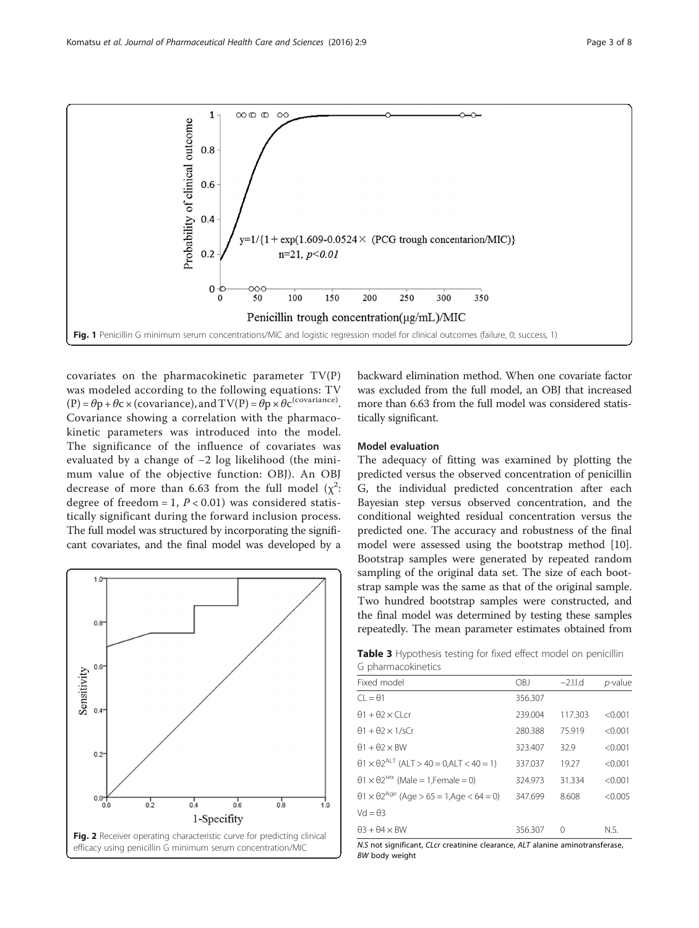<span id="page-2-0"></span>

covariates on the pharmacokinetic parameter TV(P) was modeled according to the following equations: TV  $(P) = \theta p + \theta c \times (covariance)$ , and  $TV(P) = \theta p \times \theta c^{(covariance)}$ . Covariance showing a correlation with the pharmacokinetic parameters was introduced into the model. The significance of the influence of covariates was evaluated by a change of −2 log likelihood (the minimum value of the objective function: OBJ). An OBJ decrease of more than 6.63 from the full model  $(\chi^2)$ : degree of freedom = 1,  $P < 0.01$ ) was considered statistically significant during the forward inclusion process. The full model was structured by incorporating the significant covariates, and the final model was developed by a



backward elimination method. When one covariate factor was excluded from the full model, an OBJ that increased more than 6.63 from the full model was considered statistically significant.

#### Model evaluation

The adequacy of fitting was examined by plotting the predicted versus the observed concentration of penicillin G, the individual predicted concentration after each Bayesian step versus observed concentration, and the conditional weighted residual concentration versus the predicted one. The accuracy and robustness of the final model were assessed using the bootstrap method [\[10](#page-6-0)]. Bootstrap samples were generated by repeated random sampling of the original data set. The size of each bootstrap sample was the same as that of the original sample. Two hundred bootstrap samples were constructed, and the final model was determined by testing these samples repeatedly. The mean parameter estimates obtained from

Table 3 Hypothesis testing for fixed effect model on penicillin G pharmacokinetics

| Fixed model                                                        | OBJ     | $-2$ .l.l.d | p-value |
|--------------------------------------------------------------------|---------|-------------|---------|
| $Cl = \theta1$                                                     | 356.307 |             |         |
| $\theta$ 1 + $\theta$ 2 × Cl cr                                    | 239.004 | 117.303     | < 0.001 |
| $\theta$ 1 + $\theta$ 2 × 1/sCr                                    | 280.388 | 75.919      | < 0.001 |
| $\theta$ 1 + $\theta$ 2 × BW                                       | 323.407 | 32.9        | < 0.001 |
| $\theta$ 1 × $\theta$ 2 <sup>ALT</sup> (ALT > 40 = 0,ALT < 40 = 1) | 337.037 | 19.27       | < 0.001 |
| $\theta$ 1 × $\theta$ 2 <sup>sex</sup> (Male = 1. Female = 0)      | 324.973 | 31.334      | < 0.001 |
| $\theta$ 1 × $\theta$ 2 <sup>Age</sup> (Age > 65 = 1,Age < 64 = 0) | 347.699 | 8.608       | < 0.005 |
| $Vd = \theta$ 3                                                    |         |             |         |
| $\theta$ 3 + $\theta$ 4 × BW                                       | 356.307 | 0           | N.S.    |

N.S not significant, CLcr creatinine clearance, ALT alanine aminotransferase, BW body weight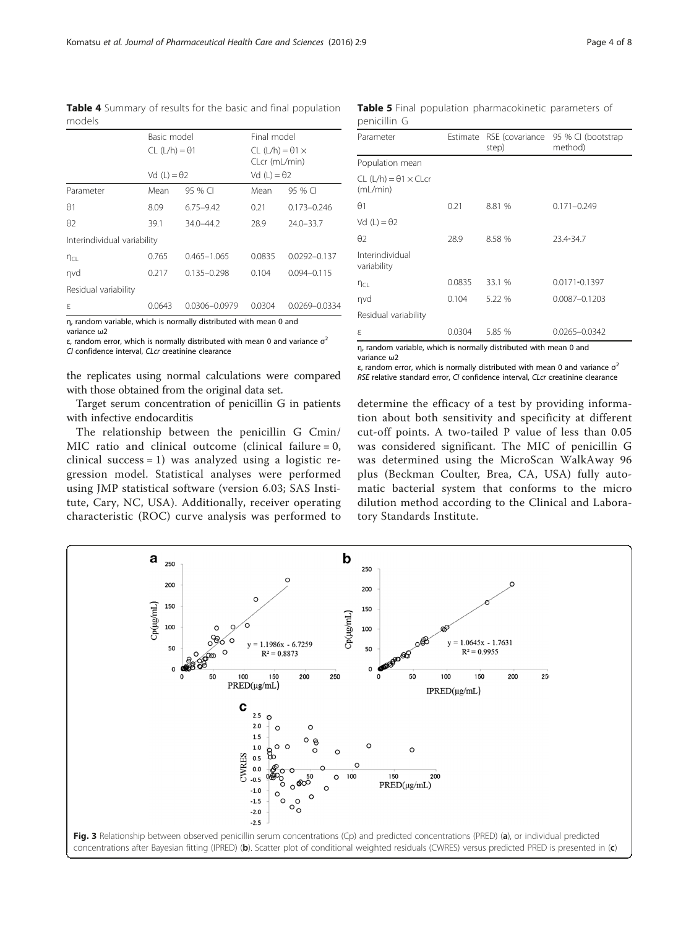<span id="page-3-0"></span>Table 4 Summary of results for the basic and final population models

|                             | Basic model          |                 | Final model                                  |                  |
|-----------------------------|----------------------|-----------------|----------------------------------------------|------------------|
|                             | $CL (L/h) = \theta1$ |                 | $CL (L/h) = \theta1 \times$<br>CLcr (mL/min) |                  |
|                             | Vd $(L) = \theta$ 2  |                 | Vd $(L) = \theta$ 2                          |                  |
| Parameter                   | Mean                 | 95 % CI         | Mean                                         | 95 % CI          |
| $\Theta$ 1                  | 8.09                 | $6.75 - 9.42$   | 0.21                                         | $0.173 - 0.246$  |
| $\theta$                    | 39.1                 | $34.0 - 44.2$   | 28.9                                         | $24.0 - 33.7$    |
| Interindividual variability |                      |                 |                                              |                  |
| $n_{CL}$                    | 0.765                | $0.465 - 1.065$ | 0.0835                                       | $0.0292 - 0.137$ |
| nvd                         | 0.217                | $0.135 - 0.298$ | 0.104                                        | $0.094 - 0.115$  |
| Residual variability        |                      |                 |                                              |                  |
| ε                           | 0.0643               | 0.0306-0.0979   | 0.0304                                       | 0.0269-0.0334    |

η, random variable, which is normally distributed with mean 0 and

variance ω2 ε, random error, which is normally distributed with mean 0 and variance  $σ²$ 

CI confidence interval, CLcr creatinine clearance

the replicates using normal calculations were compared with those obtained from the original data set.

Target serum concentration of penicillin G in patients with infective endocarditis

The relationship between the penicillin G Cmin/ MIC ratio and clinical outcome (clinical failure  $= 0$ , clinical success = 1) was analyzed using a logistic regression model. Statistical analyses were performed using JMP statistical software (version 6.03; SAS Institute, Cary, NC, USA). Additionally, receiver operating characteristic (ROC) curve analysis was performed to

Table 5 Final population pharmacokinetic parameters of penicillin G

| Parameter                                      | Estimate | step)  | RSE (covariance 95 % CI (bootstrap<br>method) |
|------------------------------------------------|----------|--------|-----------------------------------------------|
| Population mean                                |          |        |                                               |
| $CL (L/h) = \theta 1 \times CL$ cr<br>(mL/min) |          |        |                                               |
| $\theta$ 1                                     | 0.21     | 8.81 % | $0.171 - 0.249$                               |
| Vd $(L) = \theta$ 2                            |          |        |                                               |
| $\theta$                                       | 28.9     | 8.58 % | 23.4-34.7                                     |
| Interindividual<br>variability                 |          |        |                                               |
| $n_{CL}$                                       | 0.0835   | 33.1 % | 0.0171-0.1397                                 |
| nvd                                            | 0.104    | 5.22 % | 0.0087-0.1203                                 |
| Residual variability                           |          |        |                                               |
| ε                                              | 0.0304   | 5.85 % | 0.0265-0.0342                                 |

η, random variable, which is normally distributed with mean 0 and variance ω2

ε, random error, which is normally distributed with mean 0 and variance  $σ²$ RSE relative standard error, CI confidence interval, CLcr creatinine clearance

determine the efficacy of a test by providing information about both sensitivity and specificity at different cut-off points. A two-tailed P value of less than 0.05 was considered significant. The MIC of penicillin G was determined using the MicroScan WalkAway 96 plus (Beckman Coulter, Brea, CA, USA) fully automatic bacterial system that conforms to the micro dilution method according to the Clinical and Laboratory Standards Institute.

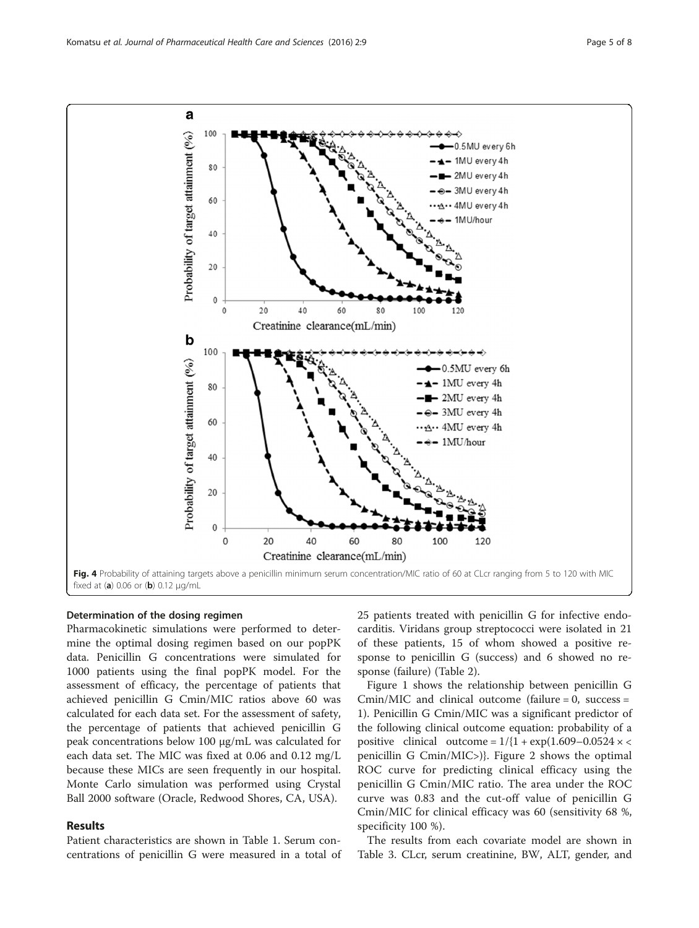<span id="page-4-0"></span>

#### Determination of the dosing regimen

Pharmacokinetic simulations were performed to determine the optimal dosing regimen based on our popPK data. Penicillin G concentrations were simulated for 1000 patients using the final popPK model. For the assessment of efficacy, the percentage of patients that achieved penicillin G Cmin/MIC ratios above 60 was calculated for each data set. For the assessment of safety, the percentage of patients that achieved penicillin G peak concentrations below 100 μg/mL was calculated for each data set. The MIC was fixed at 0.06 and 0.12 mg/L because these MICs are seen frequently in our hospital. Monte Carlo simulation was performed using Crystal Ball 2000 software (Oracle, Redwood Shores, CA, USA).

#### Results

Patient characteristics are shown in Table [1.](#page-1-0) Serum concentrations of penicillin G were measured in a total of 25 patients treated with penicillin G for infective endocarditis. Viridans group streptococci were isolated in 21 of these patients, 15 of whom showed a positive response to penicillin G (success) and 6 showed no response (failure) (Table [2\)](#page-1-0).

Figure [1](#page-2-0) shows the relationship between penicillin G  $Cmin/MIC$  and clinical outcome (failure = 0, success = 1). Penicillin G Cmin/MIC was a significant predictor of the following clinical outcome equation: probability of a positive clinical outcome =  $1/{1 + \exp(1.609 - 0.0524 \times \epsilon)}$ penicillin G Cmin/MIC>)}. Figure [2](#page-2-0) shows the optimal ROC curve for predicting clinical efficacy using the penicillin G Cmin/MIC ratio. The area under the ROC curve was 0.83 and the cut-off value of penicillin G Cmin/MIC for clinical efficacy was 60 (sensitivity 68 %, specificity 100 %).

The results from each covariate model are shown in Table [3.](#page-2-0) CLcr, serum creatinine, BW, ALT, gender, and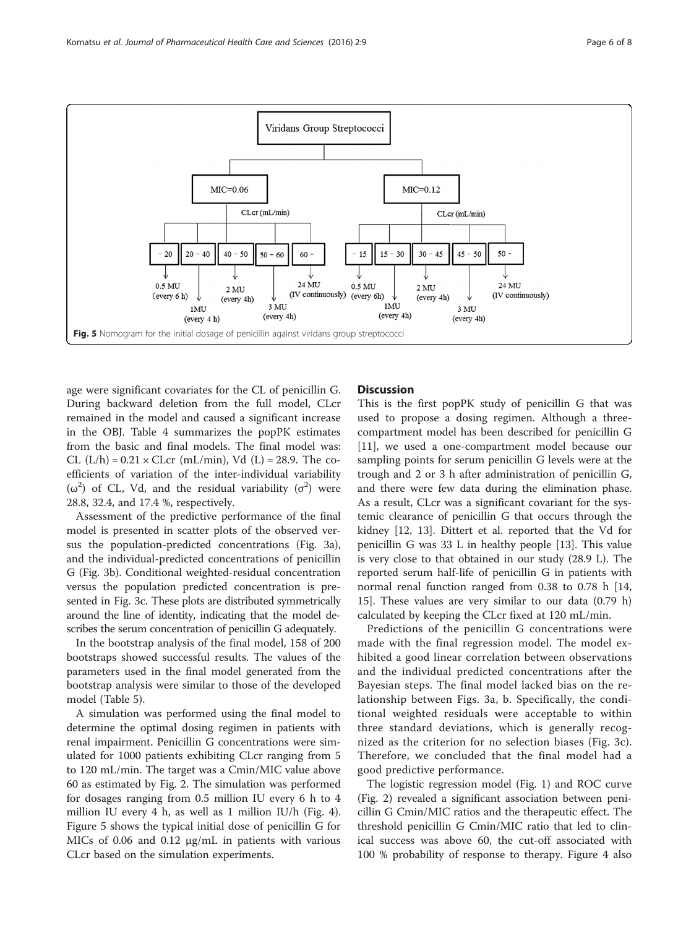

age were significant covariates for the CL of penicillin G. During backward deletion from the full model, CLcr remained in the model and caused a significant increase in the OBJ. Table [4](#page-3-0) summarizes the popPK estimates from the basic and final models. The final model was: CL  $(L/h) = 0.21 \times CLcr$  (mL/min), Vd  $(L) = 28.9$ . The coefficients of variation of the inter-individual variability ( $\omega^2$ ) of CL, Vd, and the residual variability ( $\sigma^2$ ) were 28.8, 32.4, and 17.4 %, respectively.

Assessment of the predictive performance of the final model is presented in scatter plots of the observed versus the population-predicted concentrations (Fig. [3a](#page-3-0)), and the individual-predicted concentrations of penicillin G (Fig. [3b](#page-3-0)). Conditional weighted-residual concentration versus the population predicted concentration is presented in Fig. [3c.](#page-3-0) These plots are distributed symmetrically around the line of identity, indicating that the model describes the serum concentration of penicillin G adequately.

In the bootstrap analysis of the final model, 158 of 200 bootstraps showed successful results. The values of the parameters used in the final model generated from the bootstrap analysis were similar to those of the developed model (Table [5](#page-3-0)).

A simulation was performed using the final model to determine the optimal dosing regimen in patients with renal impairment. Penicillin G concentrations were simulated for 1000 patients exhibiting CLcr ranging from 5 to 120 mL/min. The target was a Cmin/MIC value above 60 as estimated by Fig. [2.](#page-2-0) The simulation was performed for dosages ranging from 0.5 million IU every 6 h to 4 million IU every 4 h, as well as 1 million IU/h (Fig. [4](#page-4-0)). Figure 5 shows the typical initial dose of penicillin G for MICs of 0.06 and 0.12 μg/mL in patients with various CLcr based on the simulation experiments.

#### **Discussion**

This is the first popPK study of penicillin G that was used to propose a dosing regimen. Although a threecompartment model has been described for penicillin G [[11\]](#page-6-0), we used a one-compartment model because our sampling points for serum penicillin G levels were at the trough and 2 or 3 h after administration of penicillin G, and there were few data during the elimination phase. As a result, CLcr was a significant covariant for the systemic clearance of penicillin G that occurs through the kidney [\[12](#page-6-0), [13\]](#page-6-0). Dittert et al. reported that the Vd for penicillin G was 33 L in healthy people [[13\]](#page-6-0). This value is very close to that obtained in our study (28.9 L). The reported serum half-life of penicillin G in patients with normal renal function ranged from 0.38 to 0.78 h [[14](#page-6-0), [15\]](#page-6-0). These values are very similar to our data (0.79 h) calculated by keeping the CLcr fixed at 120 mL/min.

Predictions of the penicillin G concentrations were made with the final regression model. The model exhibited a good linear correlation between observations and the individual predicted concentrations after the Bayesian steps. The final model lacked bias on the relationship between Figs. [3a](#page-3-0), [b.](#page-3-0) Specifically, the conditional weighted residuals were acceptable to within three standard deviations, which is generally recognized as the criterion for no selection biases (Fig. [3c](#page-3-0)). Therefore, we concluded that the final model had a good predictive performance.

The logistic regression model (Fig. [1](#page-2-0)) and ROC curve (Fig. [2](#page-2-0)) revealed a significant association between penicillin G Cmin/MIC ratios and the therapeutic effect. The threshold penicillin G Cmin/MIC ratio that led to clinical success was above 60, the cut-off associated with 100 % probability of response to therapy. Figure [4](#page-4-0) also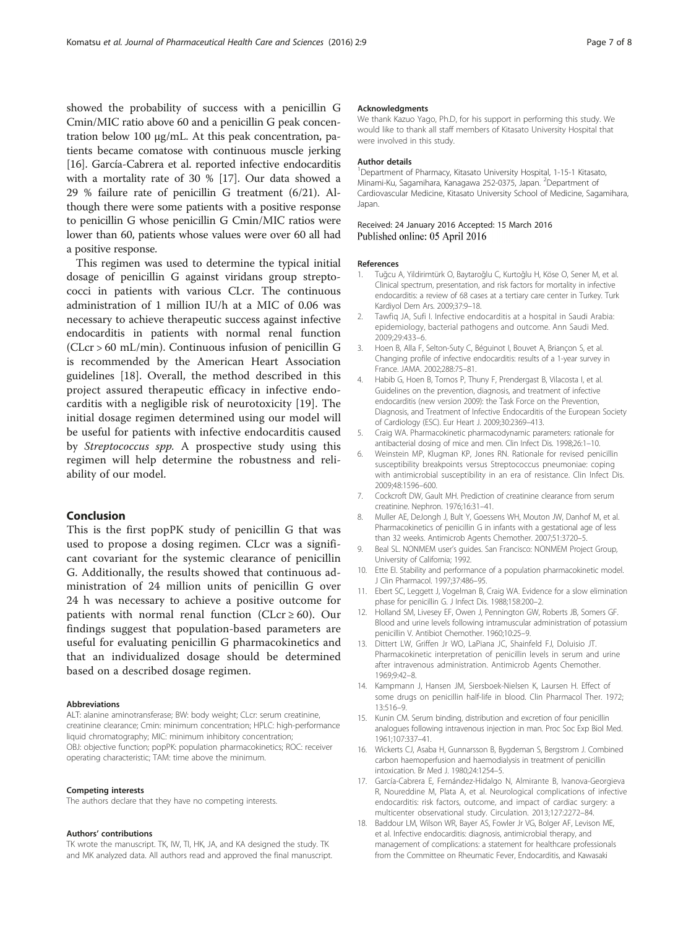<span id="page-6-0"></span>showed the probability of success with a penicillin G Cmin/MIC ratio above 60 and a penicillin G peak concentration below 100 μg/mL. At this peak concentration, patients became comatose with continuous muscle jerking [16]. García-Cabrera et al. reported infective endocarditis with a mortality rate of 30 % [17]. Our data showed a 29 % failure rate of penicillin G treatment (6/21). Although there were some patients with a positive response to penicillin G whose penicillin G Cmin/MIC ratios were lower than 60, patients whose values were over 60 all had a positive response.

This regimen was used to determine the typical initial dosage of penicillin G against viridans group streptococci in patients with various CLcr. The continuous administration of 1 million IU/h at a MIC of 0.06 was necessary to achieve therapeutic success against infective endocarditis in patients with normal renal function (CLcr > 60 mL/min). Continuous infusion of penicillin G is recommended by the American Heart Association guidelines [18]. Overall, the method described in this project assured therapeutic efficacy in infective endocarditis with a negligible risk of neurotoxicity [\[19](#page-7-0)]. The initial dosage regimen determined using our model will be useful for patients with infective endocarditis caused by Streptococcus spp. A prospective study using this regimen will help determine the robustness and reliability of our model.

#### Conclusion

This is the first popPK study of penicillin G that was used to propose a dosing regimen. CLcr was a significant covariant for the systemic clearance of penicillin G. Additionally, the results showed that continuous administration of 24 million units of penicillin G over 24 h was necessary to achieve a positive outcome for patients with normal renal function (CLcr  $\geq 60$ ). Our findings suggest that population-based parameters are useful for evaluating penicillin G pharmacokinetics and that an individualized dosage should be determined based on a described dosage regimen.

#### Abbreviations

ALT: alanine aminotransferase; BW: body weight; CLcr: serum creatinine, creatinine clearance; Cmin: minimum concentration; HPLC: high-performance liquid chromatography; MIC: minimum inhibitory concentration; OBJ: objective function; popPK: population pharmacokinetics; ROC: receiver operating characteristic; TAM: time above the minimum.

#### Competing interests

The authors declare that they have no competing interests.

#### Authors' contributions

TK wrote the manuscript. TK, IW, TI, HK, JA, and KA designed the study. TK and MK analyzed data. All authors read and approved the final manuscript.

#### Acknowledgments

We thank Kazuo Yago, Ph.D, for his support in performing this study. We would like to thank all staff members of Kitasato University Hospital that were involved in this study.

#### Author details

<sup>1</sup>Department of Pharmacy, Kitasato University Hospital, 1-15-1 Kitasato Minami-Ku, Sagamihara, Kanagawa 252-0375, Japan. <sup>2</sup>Department of Cardiovascular Medicine, Kitasato University School of Medicine, Sagamihara, Japan.

#### Received: 24 January 2016 Accepted: 15 March 2016 Published online: 05 April 2016

#### References

- 1. Tuğcu A, Yildirimtürk O, Baytaroğlu C, Kurtoğlu H, Köse O, Sener M, et al. Clinical spectrum, presentation, and risk factors for mortality in infective endocarditis: a review of 68 cases at a tertiary care center in Turkey. Turk Kardiyol Dern Ars. 2009;37:9–18.
- 2. Tawfiq JA, Sufi I. Infective endocarditis at a hospital in Saudi Arabia: epidemiology, bacterial pathogens and outcome. Ann Saudi Med. 2009;29:433–6.
- 3. Hoen B, Alla F, Selton-Suty C, Béguinot I, Bouvet A, Briançon S, et al. Changing profile of infective endocarditis: results of a 1-year survey in France. JAMA. 2002;288:75–81.
- 4. Habib G, Hoen B, Tornos P, Thuny F, Prendergast B, Vilacosta I, et al. Guidelines on the prevention, diagnosis, and treatment of infective endocarditis (new version 2009): the Task Force on the Prevention, Diagnosis, and Treatment of Infective Endocarditis of the European Society of Cardiology (ESC). Eur Heart J. 2009;30:2369–413.
- 5. Craig WA. Pharmacokinetic pharmacodynamic parameters: rationale for antibacterial dosing of mice and men. Clin Infect Dis. 1998;26:1–10.
- 6. Weinstein MP, Klugman KP, Jones RN. Rationale for revised penicillin susceptibility breakpoints versus Streptococcus pneumoniae: coping with antimicrobial susceptibility in an era of resistance. Clin Infect Dis. 2009;48:1596–600.
- 7. Cockcroft DW, Gault MH. Prediction of creatinine clearance from serum creatinine. Nephron. 1976;16:31–41.
- 8. Muller AE, DeJongh J, Bult Y, Goessens WH, Mouton JW, Danhof M, et al. Pharmacokinetics of penicillin G in infants with a gestational age of less than 32 weeks. Antimicrob Agents Chemother. 2007;51:3720–5.
- 9. Beal SL. NONMEM user's guides. San Francisco: NONMEM Project Group, University of California; 1992.
- 10. Ette EI. Stability and performance of a population pharmacokinetic model. J Clin Pharmacol. 1997;37:486–95.
- 11. Ebert SC, Leggett J, Vogelman B, Craig WA. Evidence for a slow elimination phase for penicillin G. J Infect Dis. 1988;158:200–2.
- 12. Holland SM, Livesey EF, Owen J, Pennington GW, Roberts JB, Somers GF. Blood and urine levels following intramuscular administration of potassium penicillin V. Antibiot Chemother. 1960;10:25–9.
- 13. Dittert LW, Griffen Jr WO, LaPiana JC, Shainfeld FJ, Doluisio JT. Pharmacokinetic interpretation of penicillin levels in serum and urine after intravenous administration. Antimicrob Agents Chemother. 1969;9:42–8.
- 14. Kampmann J, Hansen JM, Siersboek-Nielsen K, Laursen H. Effect of some drugs on penicillin half-life in blood. Clin Pharmacol Ther. 1972; 13:516–9.
- 15. Kunin CM. Serum binding, distribution and excretion of four penicillin analogues following intravenous injection in man. Proc Soc Exp Biol Med. 1961;107:337–41.
- 16. Wickerts CJ, Asaba H, Gunnarsson B, Bygdeman S, Bergstrom J. Combined carbon haemoperfusion and haemodialysis in treatment of penicillin intoxication. Br Med J. 1980;24:1254–5.
- 17. García-Cabrera E, Fernández-Hidalgo N, Almirante B, Ivanova-Georgieva R, Noureddine M, Plata A, et al. Neurological complications of infective endocarditis: risk factors, outcome, and impact of cardiac surgery: a multicenter observational study. Circulation. 2013;127:2272–84.
- 18. Baddour LM, Wilson WR, Bayer AS, Fowler Jr VG, Bolger AF, Levison ME, et al. Infective endocarditis: diagnosis, antimicrobial therapy, and management of complications: a statement for healthcare professionals from the Committee on Rheumatic Fever, Endocarditis, and Kawasaki